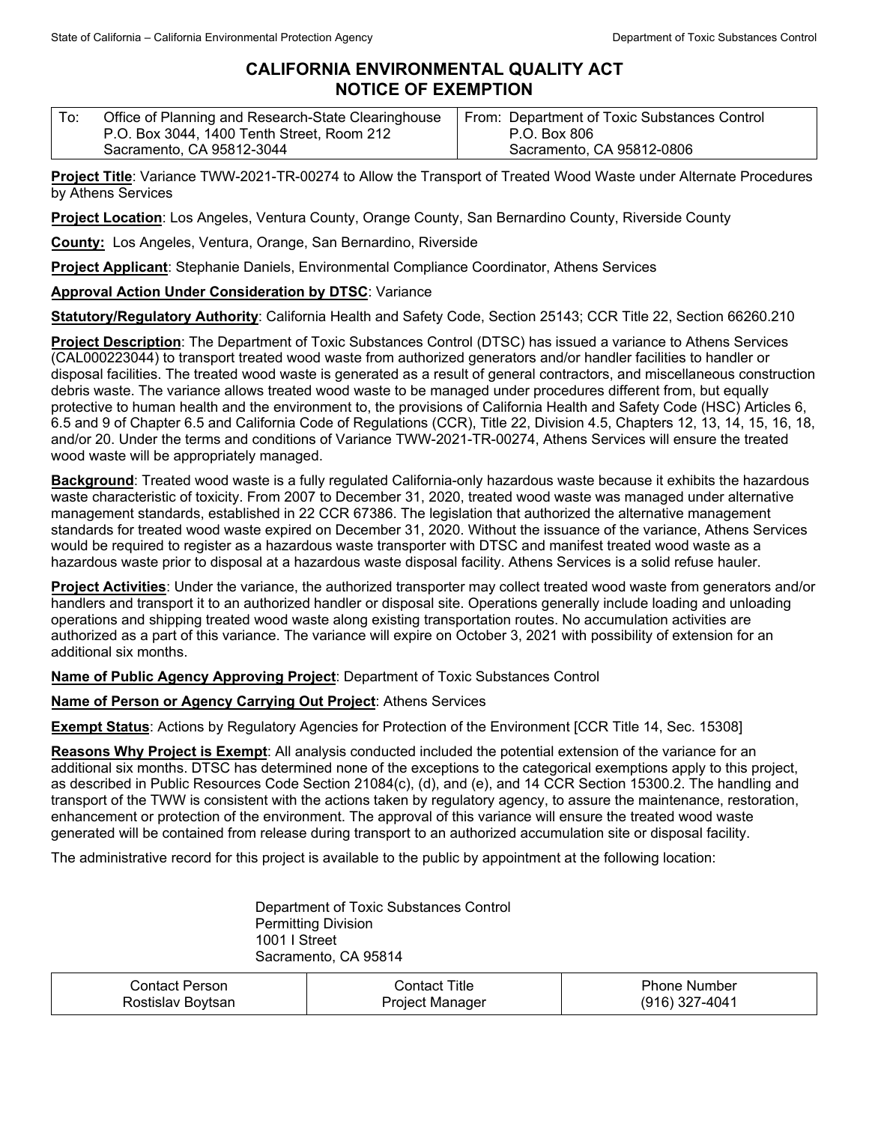## **CALIFORNIA ENVIRONMENTAL QUALITY ACT NOTICE OF EXEMPTION**

| To: | Office of Planning and Research-State Clearinghouse | From: Department of Toxic Substances Control |
|-----|-----------------------------------------------------|----------------------------------------------|
|     | P.O. Box 3044, 1400 Tenth Street, Room 212          | P.O. Box 806                                 |
|     | Sacramento, CA 95812-3044                           | Sacramento, CA 95812-0806                    |

**Project Title**: Variance TWW-2021-TR-00274 to Allow the Transport of Treated Wood Waste under Alternate Procedures by Athens Services

**Project Location**: Los Angeles, Ventura County, Orange County, San Bernardino County, Riverside County

**County:** Los Angeles, Ventura, Orange, San Bernardino, Riverside

**Project Applicant**: Stephanie Daniels, Environmental Compliance Coordinator, Athens Services

## **Approval Action Under Consideration by DTSC**: Variance

**Statutory/Regulatory Authority**: California Health and Safety Code, Section 25143; CCR Title 22, Section 66260.210

**Project Description**: The Department of Toxic Substances Control (DTSC) has issued a variance to Athens Services (CAL000223044) to transport treated wood waste from authorized generators and/or handler facilities to handler or disposal facilities. The treated wood waste is generated as a result of general contractors, and miscellaneous construction debris waste. The variance allows treated wood waste to be managed under procedures different from, but equally protective to human health and the environment to, the provisions of California Health and Safety Code (HSC) Articles 6, 6.5 and 9 of Chapter 6.5 and California Code of Regulations (CCR), Title 22, Division 4.5, Chapters 12, 13, 14, 15, 16, 18, and/or 20. Under the terms and conditions of Variance TWW-2021-TR-00274, Athens Services will ensure the treated wood waste will be appropriately managed.

**Background**: Treated wood waste is a fully regulated California-only hazardous waste because it exhibits the hazardous waste characteristic of toxicity. From 2007 to December 31, 2020, treated wood waste was managed under alternative management standards, established in 22 CCR 67386. The legislation that authorized the alternative management standards for treated wood waste expired on December 31, 2020. Without the issuance of the variance, Athens Services would be required to register as a hazardous waste transporter with DTSC and manifest treated wood waste as a hazardous waste prior to disposal at a hazardous waste disposal facility. Athens Services is a solid refuse hauler.

**Project Activities**: Under the variance, the authorized transporter may collect treated wood waste from generators and/or handlers and transport it to an authorized handler or disposal site. Operations generally include loading and unloading operations and shipping treated wood waste along existing transportation routes. No accumulation activities are authorized as a part of this variance. The variance will expire on October 3, 2021 with possibility of extension for an additional six months.

**Name of Public Agency Approving Project**: Department of Toxic Substances Control

**Name of Person or Agency Carrying Out Project**: Athens Services

**Exempt Status**: Actions by Regulatory Agencies for Protection of the Environment [CCR Title 14, Sec. 15308]

**Reasons Why Project is Exempt**: All analysis conducted included the potential extension of the variance for an additional six months. DTSC has determined none of the exceptions to the categorical exemptions apply to this project, as described in Public Resources Code Section 21084(c), (d), and (e), and 14 CCR Section 15300.2. The handling and transport of the TWW is consistent with the actions taken by regulatory agency, to assure the maintenance, restoration, enhancement or protection of the environment. The approval of this variance will ensure the treated wood waste generated will be contained from release during transport to an authorized accumulation site or disposal facility.

The administrative record for this project is available to the public by appointment at the following location:

Department of Toxic Substances Control Permitting Division 1001 I Street Sacramento, CA 95814

| Contact Person    | - Contact Title | <b>Phone Number</b> |
|-------------------|-----------------|---------------------|
| Rostislav Boytsan | Project Manager | (916) 327-4041      |